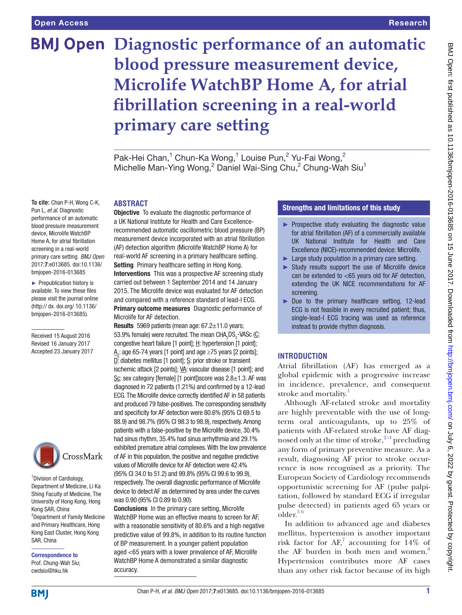# **BMJ Open Diagnostic performance of an automatic blood pressure measurement device, Microlife WatchBP Home A, for atrial fibrillation screening in a real-world primary care setting**

Pak-Hei Chan,<sup>1</sup> Chun-Ka Wong,<sup>1</sup> Louise Pun,<sup>2</sup> Yu-Fai Wong,<sup>2</sup> Michelle Man-Ying Wong,<sup>2</sup> Daniel Wai-Sing Chu,<sup>2</sup> Chung-Wah Siu<sup>1</sup>

**To cite:** Chan P-H, Wong C-K, Pun L, *et al*. Diagnostic performance of an automatic blood pressure measurement device, Microlife WatchBP Home A, for atrial fibrillation screening in a real-world primary care setting. *BMJ Open* 2017;7:e013685. doi:10.1136/ bmjopen-2016-013685

► Prepublication history is available. To view these files please visit the journal online (http:// dx. doi.org/ 10.1136/ bmjopen-2016-013685).

Received 15 August 2016 Revised 16 January 2017 Accepted 23 January 2017



1 Division of Cardiology, Department of Medicine, Li Ka Shing Faculty of Medicine, The University of Hong Kong, Hong Kong SAR, China <sup>2</sup>Department of Family Medicine and Primary Healthcare, Hong Kong East Cluster, Hong Kong SAR, China

Correspondence to Prof. Chung-Wah Siu; cwdsiu@hku.hk

# **ABSTRACT**

**Objective** To evaluate the diagnostic performance of a UK National Institute for Health and Care Excellencerecommended automatic oscillometric blood pressure (BP) measurement device incorporated with an atrial fibrillation (AF) detection algorithm (Microlife WatchBP Home A) for real-world AF screening in a primary healthcare setting. Setting Primary healthcare setting in Hong Kong. Interventions This was a prospective AF screening study carried out between 1 September 2014 and 14 January 2015. The Microlife device was evaluated for AF detection and compared with a reference standard of lead-I ECG. Primary outcome measures Diagnostic performance of Microlife for AF detection.

Results 5969 patients (mean age: 67.2±11.0 years; 53.9% female) were recruited. The mean  $\text{CHA}_2\text{DS}_2\text{-}\text{VASC}$  (C: congestive heart failure [1 point]; H: hypertension [1 point];  $\underline{\mathsf{A}}_2$ : age 65-74 years [1 point] and age ≥75 years [2 points]; D: diabetes mellitus [1 point]; S: prior stroke or transient ischemic attack [2 points]; VA: vascular disease [1 point]; and Sc: sex category [female] [1 point]) score was  $2.8 \pm 1.3$ . AF was diagnosed in 72 patients (1.21%) and confirmed by a 12-lead ECG. The Microlife device correctly identified AF in 58 patients and produced 79 false-positives. The corresponding sensitivity and specificity for AF detection were 80.6% (95% CI 69.5 to 88.9) and 98.7% (95% CI 98.3 to 98.9), respectively. Among patients with a false-positive by the Microlife device, 30.4% had sinus rhythm, 35.4% had sinus arrhythmia and 29.1% exhibited premature atrial complexes. With the low prevalence of AF in this population, the positive and negative predictive values of Microlife device for AF detection were 42.4% (95% CI 34.0 to 51.2) and 99.8% (95% CI 99.6 to 99.9), respectively. The overall diagnostic performance of Microlife device to detect AF as determined by area under the curves was 0.90 (95% CI 0.89 to 0.90).

Conclusions In the primary care setting, Microlife WatchBP Home was an effective means to screen for AF, with a reasonable sensitivity of 80.6% and a high negative predictive value of 99.8%, in addition to its routine function of BP measurement. In a younger patient population aged <65 years with a lower prevalence of AF, Microlife WatchBP Home A demonstrated a similar diagnostic accuracy.

# Strengths and limitations of this study

- ► Prospective study evaluating the diagnostic value for atrial fibrillation (AF) of a commercially available UK National Institute for Health and Care Excellence (NICE)-recommended device: Microlife.
- ► Large study population in a primary care setting.
- ► Study results support the use of Microlife device can be extended to  $<$  65 years old for AF detection, extending the UK NICE recommendations for AF screening.
- ► Due to the primary healthcare setting, 12-lead ECG is not feasible in every recruited patient; thus, single-lead-I ECG tracing was used as reference instead to provide rhythm diagnosis.

### **Introduction**

Atrial fibrillation (AF) has emerged as a global epidemic with a progressive increase in incidence, prevalence, and consequent stroke and mortality.<sup>[1](#page-4-0)</sup>

Although AF-related stroke and mortality are highly preventable with the use of longterm oral anticoagulants, up to 25% of patients with AF-related stroke have AF diagnosed only at the time of stroke,  $2-4$  precluding any form of primary preventive measure. As a result, diagnosing AF prior to stroke occurrence is now recognised as a priority. The European Society of Cardiology recommends opportunistic screening for AF (pulse palpitation, followed by standard ECG if irregular pulse detected) in patients aged 65 years or  $\Omega$ der.<sup>56</sup>

In addition to advanced age and diabetes mellitus, hypertension is another important risk factor for  $AF$ , accounting for  $14\%$  of the AF burden in both men and women.<sup>8</sup> Hypertension contributes more AF cases than any other risk factor because of its high

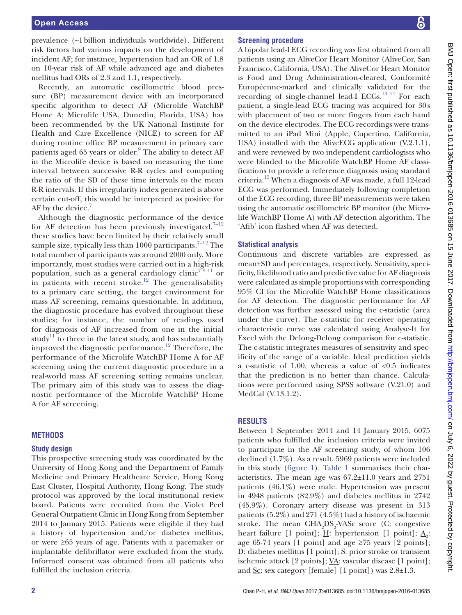prevalence (~1billion individuals worldwide). Different risk factors had various impacts on the development of incident AF; for instance, hypertension had an OR of 1.8 on 10-year risk of AF while advanced age and diabetes mellitus had ORs of 2.3 and 1.1, respectively.

Recently, an automatic oscillometric blood pressure (BP) measurement device with an incorporated specific algorithm to detect AF (Microlife WatchBP Home A; Microlife USA, Dunedin, Florida, USA) has been recommended by the UK National Institute for Health and Care Excellence (NICE) to screen for AF during routine office BP measurement in primary care patients aged 65 years or older.<sup>[9](#page-5-0)</sup> The ability to detect AF in the Microlife device is based on measuring the time interval between successive R-R cycles and computing the ratio of the SD of these time intervals to the mean R-R intervals. If this irregularity index generated is above certain cut-off, this would be interpreted as positive for AF by the device.<sup>[7](#page-4-3)</sup>

Although the diagnostic performance of the device for AF detection has been previously investigated, $7-12$ these studies have been limited by their relatively small sample size, typically less than 1000 participants.<sup>[7–12](#page-4-3)</sup> The total number of participants was around 2000 only. More importantly, most studies were carried out in a high-risk population, such as a general cardiology clinic<sup>79 11</sup> or in patients with recent stroke.<sup>12</sup> The generalisability to a primary care setting, the target environment for mass AF screening, remains questionable. In addition, the diagnostic procedure has evolved throughout these studies; for instance, the number of readings used for diagnosis of AF increased from one in the initial study<sup>11</sup> to three in the latest study, and has substantially improved the diagnostic performance.<sup>[12](#page-5-1)</sup> Therefore, the performance of the Microlife WatchBP Home A for AF screening using the current diagnostic procedure in a real-world mass AF screening setting remains unclear. The primary aim of this study was to assess the diagnostic performance of the Microlife WatchBP Home A for AF screening.

### **Methods**

#### **Study design**

This prospective screening study was coordinated by the University of Hong Kong and the Department of Family Medicine and Primary Healthcare Service, Hong Kong East Cluster, Hospital Authority, Hong Kong. The study protocol was approved by the local institutional review board. Patients were recruited from the Violet Peel General Outpatient Clinic in Hong Kong from September 2014 to January 2015. Patients were eligible if they had a history of hypertension and/or diabetes mellitus, or were ≥65 years of age. Patients with a pacemaker or implantable defibrillator were excluded from the study. Informed consent was obtained from all patients who fulfilled the inclusion criteria.

#### **Screening procedure**

A bipolar lead-I ECG recording was first obtained from all patients using an AliveCor Heart Monitor (AliveCor, San Francisco, California, USA). The AliveCor Heart Monitor is Food and Drug Administration-cleared, Conformité Européenne-marked and clinically validated for the recording of single-channel lead-I ECGs.<sup>13 14</sup> For each patient, a single-lead ECG tracing was acquired for 30s with placement of two or more fingers from each hand on the device electrodes. The ECG recordings were transmitted to an iPad Mini (Apple, Cupertino, California, USA) installed with the AliveECG application (V.2.1.1), and were reviewed by two independent cardiologists who were blinded to the Microlife WatchBP Home AF classifications to provide a reference diagnosis using standard criteria.[15](#page-5-4) When a diagnosis of AF was made, a full 12-lead ECG was performed. Immediately following completion of the ECG recording, three BP measurements were taken using the automatic oscillometric BP monitor (the Microlife WatchBP Home A) with AF detection algorithm. The 'Afib' icon flashed when AF was detected.

### **Statistical analysis**

Continuous and discrete variables are expressed as mean±SD and percentages, respectively. Sensitivity, specificity, likelihood ratio and predictive value for AF diagnosis were calculated as simple proportions with corresponding 95% CI for the Microlife WatchBP Home classifications for AF detection. The diagnostic performance for AF detection was further assessed using the c-statistic (area under the curve). The c-statistic for receiver operating characteristic curve was calculated using Analyse-It for Excel with the Delong-Delong comparison for c-statistic. The c-statistic integrates measures of sensitivity and specificity of the range of a variable. Ideal prediction yields a c-statistic of 1.00, whereas a value of  $\langle 0.5 \rangle$  indicates that the prediction is no better than chance. Calculations were performed using SPSS software (V.21.0) and MedCal (V.13.1.2).

### **Results**

Between 1 September 2014 and 14 January 2015, 6075 patients who fulfilled the inclusion criteria were invited to participate in the AF screening study, of whom 106 declined (1.7%). As a result, 5969 patients were included in this study [\(figure](#page-2-0) 1). [Table](#page-2-1) 1 summarises their characteristics. The mean age was 67.2±11.0 years and 2751 patients (46.1%) were male. Hypertension was present in 4948 patients (82.9%) and diabetes mellitus in 2742 (45.9%). Coronary artery disease was present in 313 patients (5.2%) and 271 (4.5%) had a history of ischaemic stroke. The mean  $\text{CHA}_2\text{DS}_2\text{-VASC score}$  (*C*: congestive heart failure [1 point]; <u>H</u>: hypertension [1 point];  $\underline{A}_{\underline{2}}$ : age 65-74 years [1 point] and age  $\geq$ 75 years [2 points];  $\underline{D}$ : diabetes mellitus [1 point];  $\underline{S}$ : prior stroke or transient ischemic attack [2 points];  $\underline{VA}$ : vascular disease [1 point]; and Sc: sex category [female] [1 point]) was 2.8±1.3.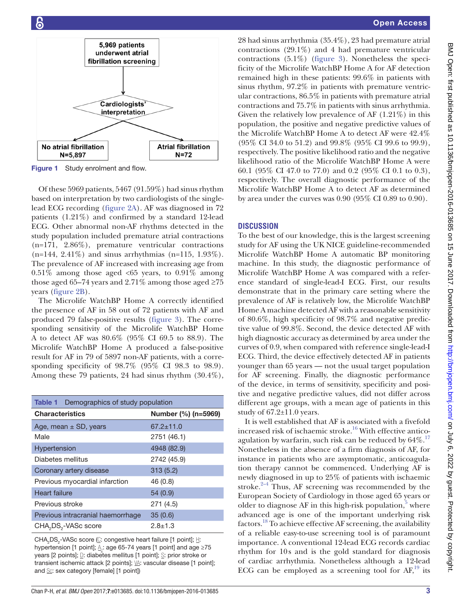

<span id="page-2-0"></span>Figure 1 Study enrolment and flow.

Of these 5969 patients, 5467 (91.59%) had sinus rhythm based on interpretation by two cardiologists of the singlelead ECG recording [\(figure](#page-3-0) 2A). AF was diagnosed in 72 patients (1.21%) and confirmed by a standard 12-lead ECG. Other abnormal non-AF rhythms detected in the study population included premature atrial contractions (n=171, 2.86%), premature ventricular contractions (n=144, 2.41%) and sinus arrhythmias (n=115, 1.93%). The prevalence of AF increased with increasing age from  $0.51\%$  among those aged <65 years, to  $0.91\%$  among those aged 65–74 years and 2.71% among those aged  $\geq 75$ years [\(figure](#page-3-0) 2B).

The Microlife WatchBP Home A correctly identified the presence of AF in 58 out of 72 patients with AF and produced 79 false-positive results ([figure](#page-3-1) 3). The corresponding sensitivity of the Microlife WatchBP Home A to detect AF was 80.6% (95% CI 69.5 to 88.9). The Microlife WatchBP Home A produced a false-positive result for AF in 79 of 5897 non-AF patients, with a corresponding specificity of 98.7% (95% CI 98.3 to 98.9). Among these 79 patients, 24 had sinus rhythm (30.4%),

<span id="page-2-1"></span>

| Demographics of study population<br>Table 1  |                     |
|----------------------------------------------|---------------------|
| <b>Characteristics</b>                       | Number (%) (n=5969) |
| Age, mean $\pm$ SD, years                    | $67.2 \pm 11.0$     |
| Male                                         | 2751 (46.1)         |
| Hypertension                                 | 4948 (82.9)         |
| Diabetes mellitus                            | 2742 (45.9)         |
| Coronary artery disease                      | 313(5.2)            |
| Previous myocardial infarction               | 46(0.8)             |
| Heart failure                                | 54(0.9)             |
| Previous stroke                              | 271 (4.5)           |
| Previous intracranial haemorrhage            | 35(0.6)             |
| CHA <sub>2</sub> DS <sub>2</sub> -VASc score | $2.8 + 1.3$         |

CHA<sub>2</sub>DS<sub>2</sub>-VASc score ( $\underline{\mathbb{C}}$ : congestive heart failure [1 point]; H: hypertension [1 point];  $\mathcal{A}_{2}$ : age 65-74 years [1 point] and age ≥75 years [2 points]; D: diabetes mellitus [1 point]; S: prior stroke or transient ischemic attack [2 points]; \/\/\. vascular disease [1 point]; and Sc: sex category [female] [1 point])

28 had sinus arrhythmia (35.4%), 23 had premature atrial contractions (29.1%) and 4 had premature ventricular contractions (5.1%) ([figure](#page-3-1) 3). Nonetheless the specificity of the Microlife WatchBP Home A for AF detection remained high in these patients: 99.6% in patients with sinus rhythm, 97.2% in patients with premature ventricular contractions, 86.5% in patients with premature atrial contractions and 75.7% in patients with sinus arrhythmia. Given the relatively low prevalence of AF (1.21%) in this population, the positive and negative predictive values of the Microlife WatchBP Home A to detect AF were 42.4% (95% CI 34.0 to 51.2) and 99.8% (95% CI 99.6 to 99.9), respectively. The positive likelihood ratio and the negative likelihood ratio of the Microlife WatchBP Home A were 60.1 (95% CI 47.0 to 77.0) and 0.2 (95% CI 0.1 to 0.3), respectively. The overall diagnostic performance of the Microlife WatchBP Home A to detect AF as determined by area under the curves was 0.90 (95% CI 0.89 to 0.90).

# **Discussion**

To the best of our knowledge, this is the largest screening study for AF using the UK NICE guideline-recommended Microlife WatchBP Home A automatic BP monitoring machine. In this study, the diagnostic performance of Microlife WatchBP Home A was compared with a reference standard of single-lead-I ECG. First, our results demonstrate that in the primary care setting where the prevalence of AF is relatively low, the Microlife WatchBP Home A machine detected AF with a reasonable sensitivity of 80.6%, high specificity of 98.7% and negative predictive value of 99.8%. Second, the device detected AF with high diagnostic accuracy as determined by area under the curves of 0.9, when compared with reference single-lead-I ECG. Third, the device effectively detected AF in patients younger than 65 years — not the usual target population for AF screening. Finally, the diagnostic performance of the device, in terms of sensitivity, specificity and positive and negative predictive values, did not differ across different age groups, with a mean age of patients in this study of  $67.2 \pm 11.0$  years.

It is well established that AF is associated with a fivefold increased risk of ischaemic stroke.<sup>[16](#page-5-5)</sup> With effective anticoagulation by warfarin, such risk can be reduced by  $64\%$ .<sup>[17](#page-5-6)</sup> Nonetheless in the absence of a firm diagnosis of AF, for instance in patients who are asymptomatic, anticoagulation therapy cannot be commenced. Underlying AF is newly diagnosed in up to 25% of patients with ischaemic stroke. $2-4$  Thus, AF screening was recommended by the European Society of Cardiology in those aged 65 years or older to diagnose AF in this high-risk population,<sup>5</sup> where advanced age is one of the important underlying risk factors.<sup>18</sup> To achieve effective AF screening, the availability of a reliable easy-to-use screening tool is of paramount importance. A conventional 12-lead ECG records cardiac rhythm for 10s and is the gold standard for diagnosis of cardiac arrhythmia. Nonetheless although a 12-lead ECG can be employed as a screening tool for  $AF<sub>19</sub>$  its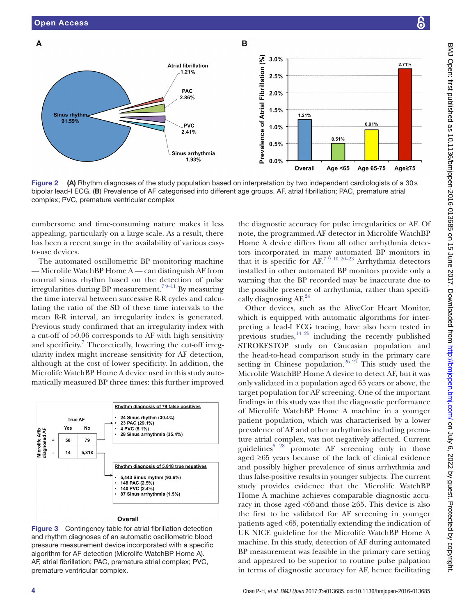

<span id="page-3-0"></span>Figure 2 (A) Rhythm diagnoses of the study population based on interpretation by two independent cardiologists of a 30s bipolar lead-I ECG. (B) Prevalence of AF categorised into different age groups. AF, atrial fibrillation; PAC, premature atrial complex; PVC, premature ventricular complex

cumbersome and time-consuming nature makes it less appealing, particularly on a large scale. As a result, there has been a recent surge in the availability of various easyto-use devices.

The automated oscillometric BP monitoring machine — Microlife WatchBP Home A — can distinguish AF from normal sinus rhythm based on the detection of pulse irregularities during BP measurement.<sup>79–11</sup> By measuring the time interval between successive R-R cycles and calculating the ratio of the SD of these time intervals to the mean R-R interval, an irregularity index is generated. Previous study confirmed that an irregularity index with a cut-off of >0.06 corresponds to AF with high sensitivity and specificity.<sup>[7](#page-4-3)</sup> Theoretically, lowering the cut-off irregularity index might increase sensitivity for AF detection, although at the cost of lower specificity. In addition, the Microlife WatchBP Home A device used in this study automatically measured BP three times: this further improved



<span id="page-3-1"></span>Figure 3 Contingency table for atrial fibrillation detection and rhythm diagnoses of an automatic oscillometric blood pressure measurement device incorporated with a specific algorithm for AF detection (Microlife WatchBP Home A). AF, atrial fibrillation; PAC, premature atrial complex; PVC, premature ventricular complex.

the diagnostic accuracy for pulse irregularities or AF. Of note, the programmed AF detector in Microlife WatchBP Home A device differs from all other arrhythmia detectors incorporated in many automated BP monitors in that it is specific for  $AF^{7/9/10/20-23}$  Arrhythmia detectors installed in other automated BP monitors provide only a warning that the BP recorded may be inaccurate due to the possible presence of arrhythmia, rather than specifi-cally diagnosing AF.<sup>[24](#page-5-9)</sup>

Other devices, such as the AliveCor Heart Monitor, which is equipped with automatic algorithms for interpreting a lead-I ECG tracing, have also been tested in previous studies, $14^{25}$  including the recently published STROKESTOP study on Caucasian population and the head-to-head comparison study in the primary care setting in Chinese population.<sup>26 27</sup> This study used the Microlife WatchBP Home A device to detect AF, but it was only validated in a population aged 65 years or above, the target population for AF screening. One of the important findings in this study was that the diagnostic performance of Microlife WatchBP Home A machine in a younger patient population, which was characterised by a lower prevalence of AF and other arrhythmias including premature atrial complex, was not negatively affected. Current guidelines $5^{5}$ <sup>28</sup> promote AF screening only in those aged ≥65 years because of the lack of clinical evidence and possibly higher prevalence of sinus arrhythmia and thus false-positive results in younger subjects. The current study provides evidence that the Microlife WatchBP Home A machine achieves comparable diagnostic accuracy in those aged <65and those ≥65. This device is also the first to be validated for AF screening in younger patients aged <65, potentially extending the indication of UK NICE guideline for the Microlife WatchBP Home A machine. In this study, detection of AF during automated BP measurement was feasible in the primary care setting and appeared to be superior to routine pulse palpation in terms of diagnostic accuracy for AF, hence facilitating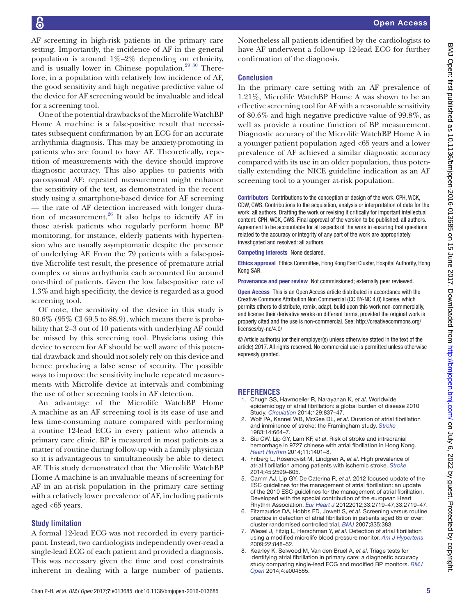BMJ Open: first published as 10.1136/bmjopen-2016-013685 on 15 June 2017. Downloaded from http://bmjopen.bmj.com/ on July 6, 2022 by guest. Protected by copyright BMJ Open: first published as 10.1136/bmjopen-2016-013685 on 15 June 2017. Downloaded from <http://bmjopen.bmj.com/> on July 6, 2022 by guest. Protected by copyright.

AF screening in high-risk patients in the primary care setting. Importantly, the incidence of AF in the general population is around 1%–2% depending on ethnicity, and is usually lower in Chinese population. $2930$  Therefore, in a population with relatively low incidence of AF, the good sensitivity and high negative predictive value of the device for AF screening would be invaluable and ideal for a screening tool.

One of the potential drawbacks of the Microlife WatchBP Home A machine is a false-positive result that necessitates subsequent confirmation by an ECG for an accurate arrhythmia diagnosis. This may be anxiety-promoting in patients who are found to have AF. Theoretically, repetition of measurements with the device should improve diagnostic accuracy. This also applies to patients with paroxysmal AF: repeated measurement might enhance the sensitivity of the test, as demonstrated in the recent study using a smartphone-based device for AF screening — the rate of AF detection increased with longer duration of measurement. $26$  It also helps to identify AF in those at-risk patients who regularly perform home BP monitoring, for instance, elderly patients with hypertension who are usually asymptomatic despite the presence of underlying AF. From the 79 patients with a false-positive Microlife test result, the presence of premature atrial complex or sinus arrhythmia each accounted for around one-third of patients. Given the low false-positive rate of 1.3% and high specificity, the device is regarded as a good screening tool.

Of note, the sensitivity of the device in this study is 80.6% (95% CI 69.5 to 88.9), which means there is probability that 2–3 out of 10 patients with underlying AF could be missed by this screening tool. Physicians using this device to screen for AF should be well aware of this potential drawback and should not solely rely on this device and hence producing a false sense of security. The possible ways to improve the sensitivity include repeated measurements with Microlife device at intervals and combining the use of other screening tools in AF detection.

An advantage of the Microlife WatchBP Home A machine as an AF screening tool is its ease of use and less time-consuming nature compared with performing a routine 12-lead ECG in every patient who attends a primary care clinic. BP is measured in most patients as a matter of routine during follow-up with a family physician so it is advantageous to simultaneously be able to detect AF. This study demonstrated that the Microlife WatchBP Home A machine is an invaluable means of screening for AF in an at-risk population in the primary care setting with a relatively lower prevalence of AF, including patients aged <65 years.

### **Study limitation**

A formal 12-lead ECG was not recorded in every participant. Instead, two cardiologists independently over-read a single-lead ECG of each patient and provided a diagnosis. This was necessary given the time and cost constraints inherent in dealing with a large number of patients.

# **Conclusion**

In the primary care setting with an AF prevalence of 1.21%, Microlife WatchBP Home A was shown to be an effective screening tool for AF with a reasonable sensitivity of 80.6% and high negative predictive value of 99.8%, as well as provide a routine function of BP measurement. Diagnostic accuracy of the Microlife WatchBP Home A in a younger patient population aged <65 years and a lower prevalence of AF achieved a similar diagnostic accuracy compared with its use in an older population, thus potentially extending the NICE guideline indication as an AF screening tool to a younger at-risk population.

Contributors Contributions to the conception or design of the work: CPH, WCK, CDW, CWS. Contributions to the acquisition, analysis or interpretation of data for the work: all authors. Drafting the work or revising it critically for important intellectual content: CPH, WCK, CWS. Final approval of the version to be published: all authors. Agreement to be accountable for all aspects of the work in ensuring that questions related to the accuracy or integrity of any part of the work are appropriately investigated and resolved: all authors.

Competing interests None declared.

Ethics approval Ethics Committee, Hong Kong East Cluster, Hospital Authority, Hong Kong SAR.

Provenance and peer review Not commissioned; externally peer reviewed.

Open Access This is an Open Access article distributed in accordance with the Creative Commons Attribution Non Commercial (CC BY-NC 4.0) license, which permits others to distribute, remix, adapt, build upon this work non-commercially, and license their derivative works on different terms, provided the original work is properly cited and the use is non-commercial. See: [http://creativecommons.org/](http://creativecommons.org/licenses/by-nc/4.0/) [licenses/by-nc/4.0/](http://creativecommons.org/licenses/by-nc/4.0/)

© Article author(s) (or their employer(s) unless otherwise stated in the text of the article) 2017. All rights reserved. No commercial use is permitted unless otherwise expressly granted.

### **References**

- <span id="page-4-0"></span>1. Chugh SS, Havmoeller R, Narayanan K, *et al*. Worldwide epidemiology of atrial fibrillation: a global burden of disease 2010 Study. *[Circulation](http://dx.doi.org/10.1161/CIRCULATIONAHA.113.005119)* 2014;129:837–47.
- <span id="page-4-1"></span>2. Wolf PA, Kannel WB, McGee DL, *et al*. Duration of atrial fibrillation and imminence of stroke: the Framingham study. *[Stroke](http://dx.doi.org/10.1161/01.STR.14.5.664)* 1983;14:664–7.
- 3. Siu CW, Lip GY, Lam KF, *et al*. Risk of stroke and intracranial hemorrhage in 9727 chinese with atrial fibrillation in Hong Kong. *[Heart Rhythm](http://dx.doi.org/10.1016/j.hrthm.2014.04.021)* 2014;11:1401–8.
- 4. Friberg L, Rosenqvist M, Lindgren A, *et al*. High prevalence of atrial fibrillation among patients with ischemic stroke. *[Stroke](http://dx.doi.org/10.1161/STROKEAHA.114.006070)* 2014;45:2599–605.
- <span id="page-4-2"></span>5. Camm AJ, Lip GY, De Caterina R, *et al*. 2012 focused update of the ESC guidelines for the management of atrial fibrillation: an update of the 2010 ESC guidelines for the management of atrial fibrillation. Developed with the special contribution of the european Heart Rhythm Association. *[Eur Heart J](http://dx.doi.org/10.1093/eurheartj/ehs253)* 20122012;33:2719–47;33:2719–47.
- 6. Fitzmaurice DA, Hobbs FD, Jowett S, *et al*. Screening versus routine practice in detection of atrial fibrillation in patients aged 65 or over: cluster randomised controlled trial. *[BMJ](http://dx.doi.org/10.1136/bmj.39280.660567.55)* 2007;335:383.
- <span id="page-4-3"></span>7. Wiesel J, Fitzig L, Herschman Y, *et al*. Detection of atrial fibrillation using a modified microlife blood pressure monitor. *[Am J Hypertens](http://dx.doi.org/10.1038/ajh.2009.98)* 2009;22:848–52.
- <span id="page-4-4"></span>8. Kearley K, Selwood M, Van den Bruel A, *et al*. Triage tests for identifying atrial fibrillation in primary care: a diagnostic accuracy study comparing single-lead ECG and modified BP monitors. *[BMJ](http://dx.doi.org/10.1136/bmjopen-2013-004565)  [Open](http://dx.doi.org/10.1136/bmjopen-2013-004565)* 2014;4:e004565.